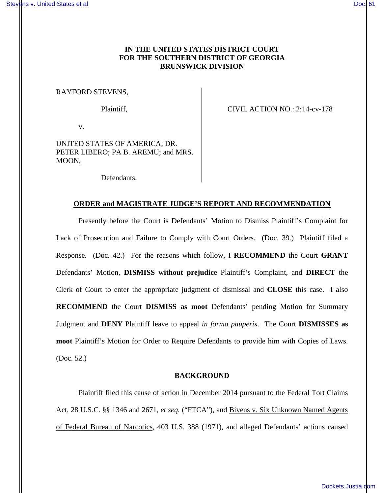# **IN THE UNITED STATES DISTRICT COURT FOR THE SOUTHERN DISTRICT OF GEORGIA BRUNSWICK DIVISION**

## RAYFORD STEVENS,

Plaintiff, CIVIL ACTION NO.: 2:14-cv-178

v.

UNITED STATES OF AMERICA; DR. PETER LIBERO; PA B. AREMU; and MRS. MOON,

Defendants.

#### **ORDER and MAGISTRATE JUDGE'S REPORT AND RECOMMENDATION**

Presently before the Court is Defendants' Motion to Dismiss Plaintiff's Complaint for Lack of Prosecution and Failure to Comply with Court Orders. (Doc. 39.) Plaintiff filed a Response. (Doc. 42.) For the reasons which follow, I **RECOMMEND** the Court **GRANT** Defendants' Motion, **DISMISS without prejudice** Plaintiff's Complaint, and **DIRECT** the Clerk of Court to enter the appropriate judgment of dismissal and **CLOSE** this case. I also **RECOMMEND** the Court **DISMISS as moot** Defendants' pending Motion for Summary Judgment and **DENY** Plaintiff leave to appeal *in forma pauperis*. The Court **DISMISSES as moot** Plaintiff's Motion for Order to Require Defendants to provide him with Copies of Laws. (Doc. 52.)

#### **BACKGROUND**

Plaintiff filed this cause of action in December 2014 pursuant to the Federal Tort Claims Act, 28 U.S.C. §§ 1346 and 2671, *et seq.* ("FTCA"), and Bivens v. Six Unknown Named Agents of Federal Bureau of Narcotics, 403 U.S. 388 (1971), and alleged Defendants' actions caused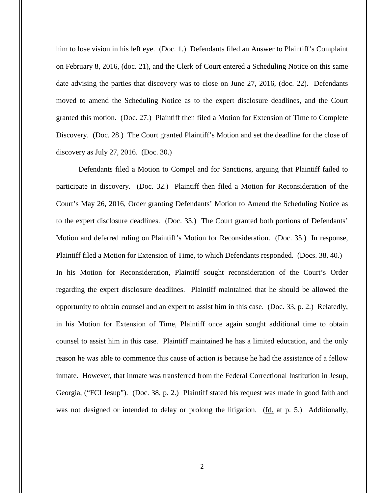him to lose vision in his left eye. (Doc. 1.) Defendants filed an Answer to Plaintiff's Complaint on February 8, 2016, (doc. 21), and the Clerk of Court entered a Scheduling Notice on this same date advising the parties that discovery was to close on June 27, 2016, (doc. 22). Defendants moved to amend the Scheduling Notice as to the expert disclosure deadlines, and the Court granted this motion. (Doc. 27.) Plaintiff then filed a Motion for Extension of Time to Complete Discovery. (Doc. 28.) The Court granted Plaintiff's Motion and set the deadline for the close of discovery as July 27, 2016. (Doc. 30.)

Defendants filed a Motion to Compel and for Sanctions, arguing that Plaintiff failed to participate in discovery. (Doc. 32.) Plaintiff then filed a Motion for Reconsideration of the Court's May 26, 2016, Order granting Defendants' Motion to Amend the Scheduling Notice as to the expert disclosure deadlines. (Doc. 33.) The Court granted both portions of Defendants' Motion and deferred ruling on Plaintiff's Motion for Reconsideration. (Doc. 35.) In response, Plaintiff filed a Motion for Extension of Time, to which Defendants responded. (Docs. 38, 40.) In his Motion for Reconsideration, Plaintiff sought reconsideration of the Court's Order regarding the expert disclosure deadlines. Plaintiff maintained that he should be allowed the opportunity to obtain counsel and an expert to assist him in this case. (Doc. 33, p. 2.) Relatedly, in his Motion for Extension of Time, Plaintiff once again sought additional time to obtain counsel to assist him in this case. Plaintiff maintained he has a limited education, and the only reason he was able to commence this cause of action is because he had the assistance of a fellow inmate. However, that inmate was transferred from the Federal Correctional Institution in Jesup, Georgia, ("FCI Jesup"). (Doc. 38, p. 2.) Plaintiff stated his request was made in good faith and was not designed or intended to delay or prolong the litigation. (Id. at p. 5.) Additionally,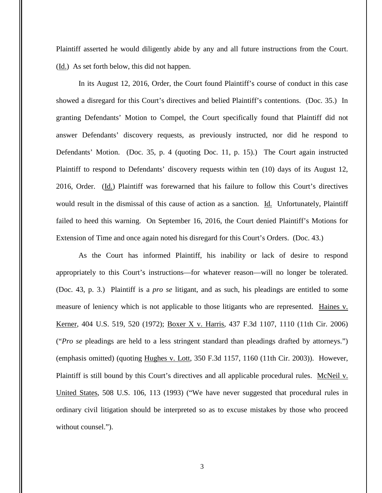Plaintiff asserted he would diligently abide by any and all future instructions from the Court. (Id.) As set forth below, this did not happen.

In its August 12, 2016, Order, the Court found Plaintiff's course of conduct in this case showed a disregard for this Court's directives and belied Plaintiff's contentions. (Doc. 35.) In granting Defendants' Motion to Compel, the Court specifically found that Plaintiff did not answer Defendants' discovery requests, as previously instructed, nor did he respond to Defendants' Motion. (Doc. 35, p. 4 (quoting Doc. 11, p. 15).) The Court again instructed Plaintiff to respond to Defendants' discovery requests within ten (10) days of its August 12, 2016, Order. (Id.) Plaintiff was forewarned that his failure to follow this Court's directives would result in the dismissal of this cause of action as a sanction. Id. Unfortunately, Plaintiff failed to heed this warning. On September 16, 2016, the Court denied Plaintiff's Motions for Extension of Time and once again noted his disregard for this Court's Orders. (Doc. 43.)

As the Court has informed Plaintiff, his inability or lack of desire to respond appropriately to this Court's instructions—for whatever reason—will no longer be tolerated. (Doc. 43, p. 3.) Plaintiff is a *pro se* litigant, and as such, his pleadings are entitled to some measure of leniency which is not applicable to those litigants who are represented. Haines v. Kerner, 404 U.S. 519, 520 (1972); Boxer X v. Harris, 437 F.3d 1107, 1110 (11th Cir. 2006) ("*Pro se* pleadings are held to a less stringent standard than pleadings drafted by attorneys.") (emphasis omitted) (quoting Hughes v. Lott, 350 F.3d 1157, 1160 (11th Cir. 2003)). However, Plaintiff is still bound by this Court's directives and all applicable procedural rules. McNeil v. United States, 508 U.S. 106, 113 (1993) ("We have never suggested that procedural rules in ordinary civil litigation should be interpreted so as to excuse mistakes by those who proceed without counsel.").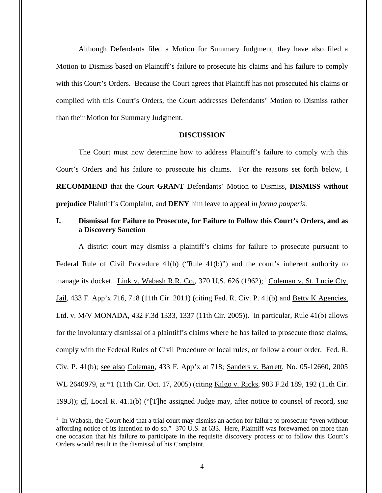Although Defendants filed a Motion for Summary Judgment, they have also filed a Motion to Dismiss based on Plaintiff's failure to prosecute his claims and his failure to comply with this Court's Orders. Because the Court agrees that Plaintiff has not prosecuted his claims or complied with this Court's Orders, the Court addresses Defendants' Motion to Dismiss rather than their Motion for Summary Judgment.

### **DISCUSSION**

The Court must now determine how to address Plaintiff's failure to comply with this Court's Orders and his failure to prosecute his claims. For the reasons set forth below, I **RECOMMEND** that the Court **GRANT** Defendants' Motion to Dismiss, **DISMISS without prejudice** Plaintiff's Complaint, and **DENY** him leave to appeal *in forma pauperis*.

# **I. Dismissal for Failure to Prosecute, for Failure to Follow this Court's Orders, and as a Discovery Sanction**

A district court may dismiss a plaintiff's claims for failure to prosecute pursuant to Federal Rule of Civil Procedure 41(b) ("Rule 41(b)") and the court's inherent authority to manage its docket. Link v. Wabash R.R. Co., 370 U.S.  $626$  (1962);<sup>1</sup> Coleman v. St. Lucie Cty. Jail, 433 F. App'x 716, 718 (11th Cir. 2011) (citing Fed. R. Civ. P. 41(b) and Betty K Agencies, Ltd. v. M/V MONADA, 432 F.3d 1333, 1337 (11th Cir. 2005)). In particular, Rule 41(b) allows for the involuntary dismissal of a plaintiff's claims where he has failed to prosecute those claims, comply with the Federal Rules of Civil Procedure or local rules, or follow a court order. Fed. R. Civ. P. 41(b); see also Coleman, 433 F. App'x at 718; Sanders v. Barrett, No. 05-12660, 2005 WL 2640979, at \*1 (11th Cir. Oct. 17, 2005) (citing Kilgo v. Ricks, 983 F.2d 189, 192 (11th Cir. 1993)); cf. Local R. 41.1(b) ("[T]he assigned Judge may, after notice to counsel of record, *sua* 

 $\overline{a}$ 

 $1$  In Wabash, the Court held that a trial court may dismiss an action for failure to prosecute "even without affording notice of its intention to do so." 370 U.S. at 633. Here, Plaintiff was forewarned on more than one occasion that his failure to participate in the requisite discovery process or to follow this Court's Orders would result in the dismissal of his Complaint.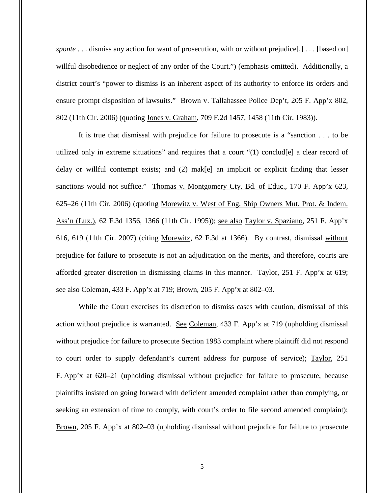*sponte* . . . dismiss any action for want of prosecution, with or without prejudice[,] . . . [based on] willful disobedience or neglect of any order of the Court.") (emphasis omitted). Additionally, a district court's "power to dismiss is an inherent aspect of its authority to enforce its orders and ensure prompt disposition of lawsuits." Brown v. Tallahassee Police Dep't, 205 F. App'x 802, 802 (11th Cir. 2006) (quoting Jones v. Graham, 709 F.2d 1457, 1458 (11th Cir. 1983)).

It is true that dismissal with prejudice for failure to prosecute is a "sanction . . . to be utilized only in extreme situations" and requires that a court "(1) conclud[e] a clear record of delay or willful contempt exists; and (2) mak[e] an implicit or explicit finding that lesser sanctions would not suffice." Thomas v. Montgomery Cty. Bd. of Educ., 170 F. App'x 623, 625–26 (11th Cir. 2006) (quoting Morewitz v. West of Eng. Ship Owners Mut. Prot. & Indem. Ass'n (Lux.), 62 F.3d 1356, 1366 (11th Cir. 1995)); see also Taylor v. Spaziano, 251 F. App'x 616, 619 (11th Cir. 2007) (citing Morewitz, 62 F.3d at 1366). By contrast, dismissal without prejudice for failure to prosecute is not an adjudication on the merits, and therefore, courts are afforded greater discretion in dismissing claims in this manner. Taylor, 251 F. App'x at 619; see also Coleman, 433 F. App'x at 719; Brown, 205 F. App'x at 802–03.

While the Court exercises its discretion to dismiss cases with caution, dismissal of this action without prejudice is warranted. See Coleman, 433 F. App'x at 719 (upholding dismissal without prejudice for failure to prosecute Section 1983 complaint where plaintiff did not respond to court order to supply defendant's current address for purpose of service); Taylor, 251 F. App'x at 620–21 (upholding dismissal without prejudice for failure to prosecute, because plaintiffs insisted on going forward with deficient amended complaint rather than complying, or seeking an extension of time to comply, with court's order to file second amended complaint); Brown, 205 F. App'x at 802–03 (upholding dismissal without prejudice for failure to prosecute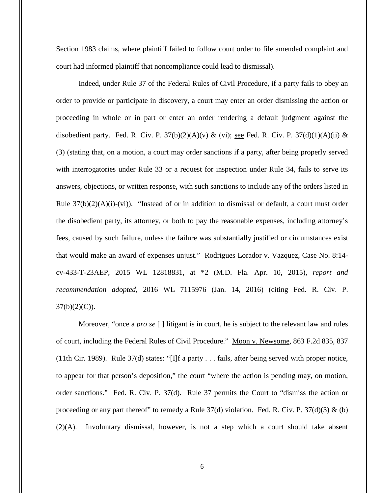Section 1983 claims, where plaintiff failed to follow court order to file amended complaint and court had informed plaintiff that noncompliance could lead to dismissal).

Indeed, under Rule 37 of the Federal Rules of Civil Procedure, if a party fails to obey an order to provide or participate in discovery, a court may enter an order dismissing the action or proceeding in whole or in part or enter an order rendering a default judgment against the disobedient party. Fed. R. Civ. P.  $37(b)(2)(A)(v)$  & (vi); see Fed. R. Civ. P.  $37(d)(1)(A)(ii)$  & (3) (stating that, on a motion, a court may order sanctions if a party, after being properly served with interrogatories under Rule 33 or a request for inspection under Rule 34, fails to serve its answers, objections, or written response, with such sanctions to include any of the orders listed in Rule  $37(b)(2)(A)(i)-(vi)$ . "Instead of or in addition to dismissal or default, a court must order the disobedient party, its attorney, or both to pay the reasonable expenses, including attorney's fees, caused by such failure, unless the failure was substantially justified or circumstances exist that would make an award of expenses unjust." Rodrigues Lorador v. Vazquez, Case No. 8:14cv-433-T-23AEP, 2015 WL 12818831, at \*2 (M.D. Fla. Apr. 10, 2015), *report and recommendation adopted,* 2016 WL 7115976 (Jan. 14, 2016) (citing Fed. R. Civ. P.  $37(b)(2)(C)$ ).

Moreover, "once a *pro se* [ ] litigant is in court, he is subject to the relevant law and rules of court, including the Federal Rules of Civil Procedure." Moon v. Newsome, 863 F.2d 835, 837 (11th Cir. 1989). Rule 37(d) states: "[I]f a party . . . fails, after being served with proper notice, to appear for that person's deposition," the court "where the action is pending may, on motion, order sanctions." Fed. R. Civ. P. 37(d). Rule 37 permits the Court to "dismiss the action or proceeding or any part thereof" to remedy a Rule  $37(d)$  violation. Fed. R. Civ. P.  $37(d)(3)$  & (b) (2)(A). Involuntary dismissal, however, is not a step which a court should take absent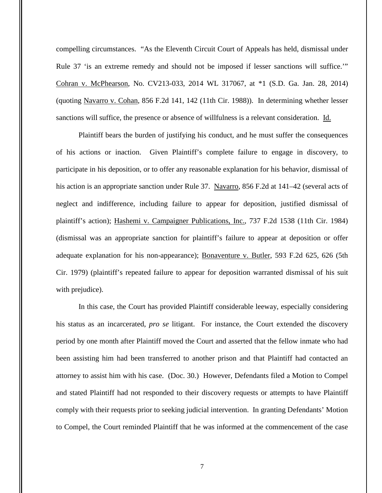compelling circumstances. "As the Eleventh Circuit Court of Appeals has held, dismissal under Rule 37 'is an extreme remedy and should not be imposed if lesser sanctions will suffice.'" Cohran v. McPhearson, No. CV213-033, 2014 WL 317067, at \*1 (S.D. Ga. Jan. 28, 2014) (quoting Navarro v. Cohan, 856 F.2d 141, 142 (11th Cir. 1988)). In determining whether lesser sanctions will suffice, the presence or absence of willfulness is a relevant consideration. Id.

Plaintiff bears the burden of justifying his conduct, and he must suffer the consequences of his actions or inaction. Given Plaintiff's complete failure to engage in discovery, to participate in his deposition, or to offer any reasonable explanation for his behavior, dismissal of his action is an appropriate sanction under Rule 37. Navarro, 856 F.2d at 141–42 (several acts of neglect and indifference, including failure to appear for deposition, justified dismissal of plaintiff's action); Hashemi v. Campaigner Publications, Inc., 737 F.2d 1538 (11th Cir. 1984) (dismissal was an appropriate sanction for plaintiff's failure to appear at deposition or offer adequate explanation for his non-appearance); **Bonaventure v. Butler**, 593 F.2d 625, 626 (5th Cir. 1979) (plaintiff's repeated failure to appear for deposition warranted dismissal of his suit with prejudice).

In this case, the Court has provided Plaintiff considerable leeway, especially considering his status as an incarcerated, *pro se* litigant. For instance, the Court extended the discovery period by one month after Plaintiff moved the Court and asserted that the fellow inmate who had been assisting him had been transferred to another prison and that Plaintiff had contacted an attorney to assist him with his case. (Doc. 30.) However, Defendants filed a Motion to Compel and stated Plaintiff had not responded to their discovery requests or attempts to have Plaintiff comply with their requests prior to seeking judicial intervention. In granting Defendants' Motion to Compel, the Court reminded Plaintiff that he was informed at the commencement of the case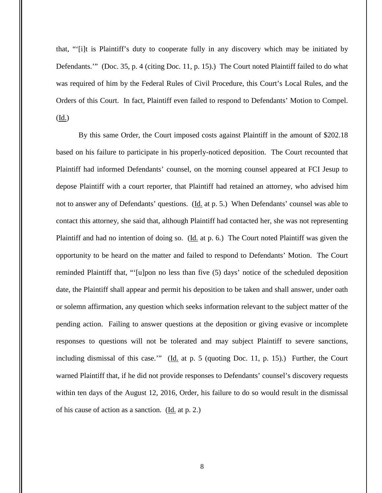that, "'[i]t is Plaintiff's duty to cooperate fully in any discovery which may be initiated by Defendants.'" (Doc. 35, p. 4 (citing Doc. 11, p. 15).) The Court noted Plaintiff failed to do what was required of him by the Federal Rules of Civil Procedure, this Court's Local Rules, and the Orders of this Court. In fact, Plaintiff even failed to respond to Defendants' Motion to Compel. (Id.)

By this same Order, the Court imposed costs against Plaintiff in the amount of \$202.18 based on his failure to participate in his properly-noticed deposition. The Court recounted that Plaintiff had informed Defendants' counsel, on the morning counsel appeared at FCI Jesup to depose Plaintiff with a court reporter, that Plaintiff had retained an attorney, who advised him not to answer any of Defendants' questions. (Id. at p. 5.) When Defendants' counsel was able to contact this attorney, she said that, although Plaintiff had contacted her, she was not representing Plaintiff and had no intention of doing so. (Id. at p. 6.) The Court noted Plaintiff was given the opportunity to be heard on the matter and failed to respond to Defendants' Motion. The Court reminded Plaintiff that, "'[u]pon no less than five (5) days' notice of the scheduled deposition date, the Plaintiff shall appear and permit his deposition to be taken and shall answer, under oath or solemn affirmation, any question which seeks information relevant to the subject matter of the pending action. Failing to answer questions at the deposition or giving evasive or incomplete responses to questions will not be tolerated and may subject Plaintiff to severe sanctions, including dismissal of this case." ( $\underline{Id}$ , at p. 5 (quoting Doc. 11, p. 15).) Further, the Court warned Plaintiff that, if he did not provide responses to Defendants' counsel's discovery requests within ten days of the August 12, 2016, Order, his failure to do so would result in the dismissal of his cause of action as a sanction. (Id. at p. 2.)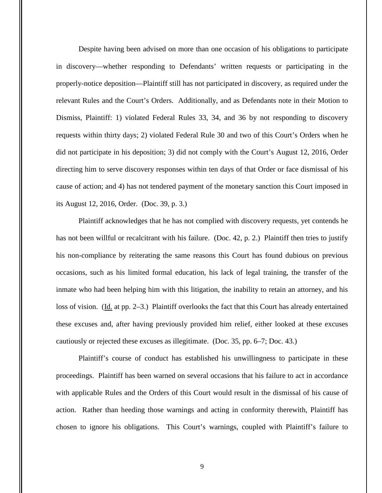Despite having been advised on more than one occasion of his obligations to participate in discovery—whether responding to Defendants' written requests or participating in the properly-notice deposition—Plaintiff still has not participated in discovery, as required under the relevant Rules and the Court's Orders. Additionally, and as Defendants note in their Motion to Dismiss, Plaintiff: 1) violated Federal Rules 33, 34, and 36 by not responding to discovery requests within thirty days; 2) violated Federal Rule 30 and two of this Court's Orders when he did not participate in his deposition; 3) did not comply with the Court's August 12, 2016, Order directing him to serve discovery responses within ten days of that Order or face dismissal of his cause of action; and 4) has not tendered payment of the monetary sanction this Court imposed in its August 12, 2016, Order. (Doc. 39, p. 3.)

Plaintiff acknowledges that he has not complied with discovery requests, yet contends he has not been willful or recalcitrant with his failure. (Doc. 42, p. 2.) Plaintiff then tries to justify his non-compliance by reiterating the same reasons this Court has found dubious on previous occasions, such as his limited formal education, his lack of legal training, the transfer of the inmate who had been helping him with this litigation, the inability to retain an attorney, and his loss of vision. (Id. at pp. 2–3.) Plaintiff overlooks the fact that this Court has already entertained these excuses and, after having previously provided him relief, either looked at these excuses cautiously or rejected these excuses as illegitimate. (Doc. 35, pp. 6–7; Doc. 43.)

Plaintiff's course of conduct has established his unwillingness to participate in these proceedings. Plaintiff has been warned on several occasions that his failure to act in accordance with applicable Rules and the Orders of this Court would result in the dismissal of his cause of action. Rather than heeding those warnings and acting in conformity therewith, Plaintiff has chosen to ignore his obligations. This Court's warnings, coupled with Plaintiff's failure to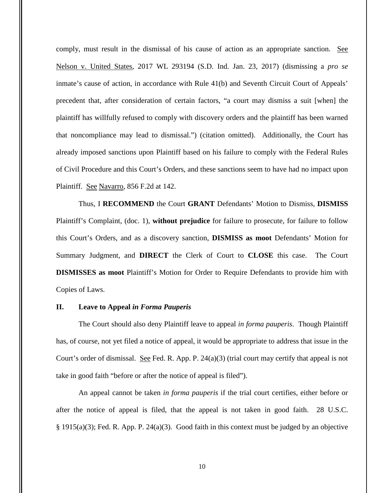comply, must result in the dismissal of his cause of action as an appropriate sanction. See Nelson v. United States, 2017 WL 293194 (S.D. Ind. Jan. 23, 2017) (dismissing a *pro se* inmate's cause of action, in accordance with Rule 41(b) and Seventh Circuit Court of Appeals' precedent that, after consideration of certain factors, "a court may dismiss a suit [when] the plaintiff has willfully refused to comply with discovery orders and the plaintiff has been warned that noncompliance may lead to dismissal.") (citation omitted). Additionally, the Court has already imposed sanctions upon Plaintiff based on his failure to comply with the Federal Rules of Civil Procedure and this Court's Orders, and these sanctions seem to have had no impact upon Plaintiff. See Navarro, 856 F.2d at 142.

Thus, I **RECOMMEND** the Court **GRANT** Defendants' Motion to Dismiss, **DISMISS**  Plaintiff's Complaint, (doc. 1), **without prejudice** for failure to prosecute, for failure to follow this Court's Orders, and as a discovery sanction, **DISMISS as moot** Defendants' Motion for Summary Judgment, and **DIRECT** the Clerk of Court to **CLOSE** this case. The Court **DISMISSES as moot** Plaintiff's Motion for Order to Require Defendants to provide him with Copies of Laws.

### **II. Leave to Appeal** *in Forma Pauperis*

The Court should also deny Plaintiff leave to appeal *in forma pauperis*. Though Plaintiff has, of course, not yet filed a notice of appeal, it would be appropriate to address that issue in the Court's order of dismissal. See Fed. R. App. P.  $24(a)(3)$  (trial court may certify that appeal is not take in good faith "before or after the notice of appeal is filed").

An appeal cannot be taken *in forma pauperis* if the trial court certifies, either before or after the notice of appeal is filed, that the appeal is not taken in good faith. 28 U.S.C.  $§$  1915(a)(3); Fed. R. App. P. 24(a)(3). Good faith in this context must be judged by an objective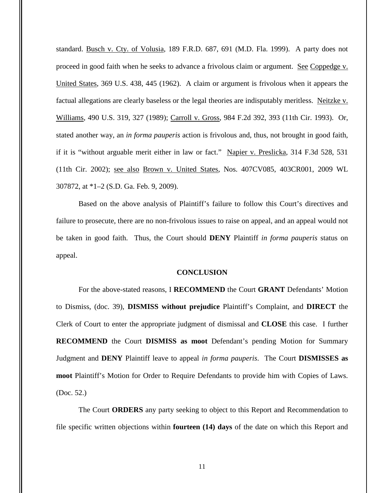standard. Busch v. Cty. of Volusia, 189 F.R.D. 687, 691 (M.D. Fla. 1999). A party does not proceed in good faith when he seeks to advance a frivolous claim or argument. See Coppedge v. United States, 369 U.S. 438, 445 (1962). A claim or argument is frivolous when it appears the factual allegations are clearly baseless or the legal theories are indisputably meritless. Neitzke v. Williams, 490 U.S. 319, 327 (1989); Carroll v. Gross, 984 F.2d 392, 393 (11th Cir. 1993). Or, stated another way, an *in forma pauperis* action is frivolous and, thus, not brought in good faith, if it is "without arguable merit either in law or fact." Napier v. Preslicka, 314 F.3d 528, 531 (11th Cir. 2002); see also Brown v. United States, Nos. 407CV085, 403CR001, 2009 WL 307872, at \*1–2 (S.D. Ga. Feb. 9, 2009).

Based on the above analysis of Plaintiff's failure to follow this Court's directives and failure to prosecute, there are no non-frivolous issues to raise on appeal, and an appeal would not be taken in good faith. Thus, the Court should **DENY** Plaintiff *in forma pauperis* status on appeal.

#### **CONCLUSION**

For the above-stated reasons, I **RECOMMEND** the Court **GRANT** Defendants' Motion to Dismiss, (doc. 39), **DISMISS without prejudice** Plaintiff's Complaint, and **DIRECT** the Clerk of Court to enter the appropriate judgment of dismissal and **CLOSE** this case. I further **RECOMMEND** the Court **DISMISS as moot** Defendant's pending Motion for Summary Judgment and **DENY** Plaintiff leave to appeal *in forma pauperis*. The Court **DISMISSES as moot** Plaintiff's Motion for Order to Require Defendants to provide him with Copies of Laws. (Doc. 52.)

The Court **ORDERS** any party seeking to object to this Report and Recommendation to file specific written objections within **fourteen (14) days** of the date on which this Report and